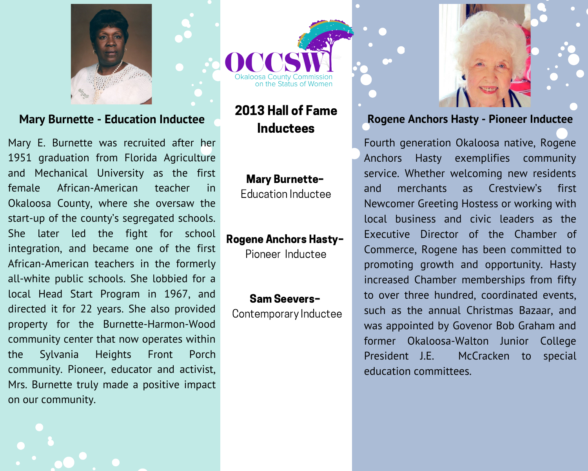

#### **Mary Burnette - Education Inductee**

Mary E. Burnette was recruited after her 1951 graduation from Florida Agriculture and Mechanical University as the first African-American teacher female in in Okaloosa County, where she oversaw the start-up of the county's segregated schools. She later led the fight for school integration, and became one of the first African-American teachers in the formerly all-white public schools. She lobbied for a local Head Start Program in 1967, and directed it for 22 years. She also provided property for the Burnette-Harmon-Wood community center that now operates within Sylvania **Heights** Front Porch the community. Pioneer, educator and activist, Mrs. Burnette truly made a positive impact on our community.



# 2013 Hall of Fame **Inductees**

#### **Mary Burnette-**

Education Inductee

#### **Rogene Anchors Hasty-**

Pioneer Inductee

### Sam Seevers-

Contemporary Inductee



#### Rogene Anchors Hasty - Pioneer Inductee

Fourth generation Okaloosa native, Rogene Anchors Hasty exemplifies community service. Whether welcoming new residents merchants **as** Crestview's first and Newcomer Greeting Hostess or working with local business and civic leaders as the Executive Director of the Chamber of Commerce, Rogene has been committed to promoting growth and opportunity. Hasty increased Chamber memberships from fifty to over three hundred, coordinated events, such as the annual Christmas Bazaar, and was appointed by Govenor Bob Graham and former Okaloosa-Walton Junior College President J.E. McCracken to special education committees.